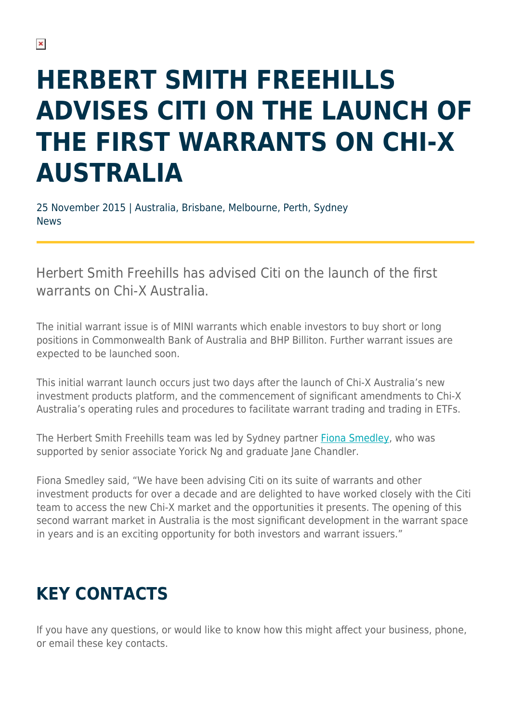## **HERBERT SMITH FREEHILLS ADVISES CITI ON THE LAUNCH OF THE FIRST WARRANTS ON CHI-X AUSTRALIA**

25 November 2015 | Australia, Brisbane, Melbourne, Perth, Sydney News

Herbert Smith Freehills has advised Citi on the launch of the first warrants on Chi-X Australia.

The initial warrant issue is of MINI warrants which enable investors to buy short or long positions in Commonwealth Bank of Australia and BHP Billiton. Further warrant issues are expected to be launched soon.

This initial warrant launch occurs just two days after the launch of Chi-X Australia's new investment products platform, and the commencement of significant amendments to Chi-X Australia's operating rules and procedures to facilitate warrant trading and trading in ETFs.

The Herbert Smith Freehills team was led by Sydney partner [Fiona Smedley,](https://www.herbertsmithfreehills.com/our-people/fiona-smedley) who was supported by senior associate Yorick Ng and graduate Jane Chandler.

Fiona Smedley said, "We have been advising Citi on its suite of warrants and other investment products for over a decade and are delighted to have worked closely with the Citi team to access the new Chi-X market and the opportunities it presents. The opening of this second warrant market in Australia is the most significant development in the warrant space in years and is an exciting opportunity for both investors and warrant issuers."

## **KEY CONTACTS**

If you have any questions, or would like to know how this might affect your business, phone, or email these key contacts.